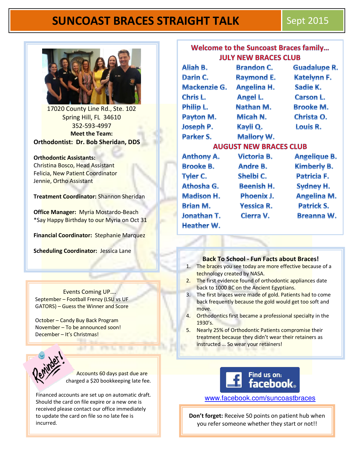# **SUNCOAST BRACES STRAIGHT TALK Sept 2015**



17020 County Line Rd., Ste. 102 Spring Hill, FL 34610 352-593-4997 **Meet the Team: Orthodontist: Dr. Bob Sheridan, DDS** 

**Orthodontic Assistants:**  Christina Bosco, Head Assistant Felicia, New Patient Coordinator Jennie, Ortho Assistant

**Treatment Coordinator:** Shannon Sheridan

**Office Manager:** Myria Mostardo-Beach \*Say Happy Birthday to our Myria on Oct 31

**Financial Coordinator:** Stephanie Marquez

**Scheduling Coordinator:** Jessica Lane

 Events Coming UP…. September - Football Frenzy (LSU vs UF GATORS) – Guess the Winner and Score

October – Candy Buy Back Program November – To be announced soon! December – It's Christmas!



 Accounts 60 days past due are charged a \$20 bookkeeping late fee.

Financed accounts are set up on automatic draft. Should the card on file expire or a new one is received please contact our office immediately to update the card on file so no late fee is incurred.

| <b>Welcome to the Suncoast Braces family</b><br><b>JULY NEW BRACES CLUB</b> |  |  |  |  |
|-----------------------------------------------------------------------------|--|--|--|--|
|                                                                             |  |  |  |  |

Darin C. **Mackenzie G.** Chris L. **Philip L.** Payton M. **Joseph P.** Parker S. **Anthony A. Brooke B. Tyler C.** Athosha G. **Madison H. Brian M. Jonathan T. Heather W.** 

Brandon ( **Raymond E. Angelina H. Angel L.** Nathan M. Micah N. Kayli Q.

Guadalupe R. **Katelynn F.** Sadie K. **Carson L. Brooke M.** Christa O. Louis R.

**AUGUST NEW BRACES CLUB** 

**Mallory W. Victoria B.** Andre B. Shelbi C. **Beenish H. Phoenix J. Yessica R.** Cierra V.

**Angelique B. Kimberly B.** Patricia F. **Sydney H. Angelina M. Patrick S. Breanna W.** 

#### **Back To School - Fun Facts about Braces!**

- 1. The braces you see today are more effective because of a technology created by NASA.
- 2. The first evidence found of orthodontic appliances date back to 1000 BC on the Ancient Egyptians.
- 3. The first braces were made of gold. Patients had to come back frequently because the gold would get too soft and move.
- 4. Orthodontics first became a professional specialty in the 1930's.
- 5. Nearly 25% of Orthodontic Patients compromise their treatment because they didn't wear their retainers as instructed … So wear your retainers!



[www.facebook.com](http://www.facebook.com/suncoastbraces)**/**suncoastbraces

**Don't forget:** Receive 50 points on patient hub when you refer someone whether they start or not!!